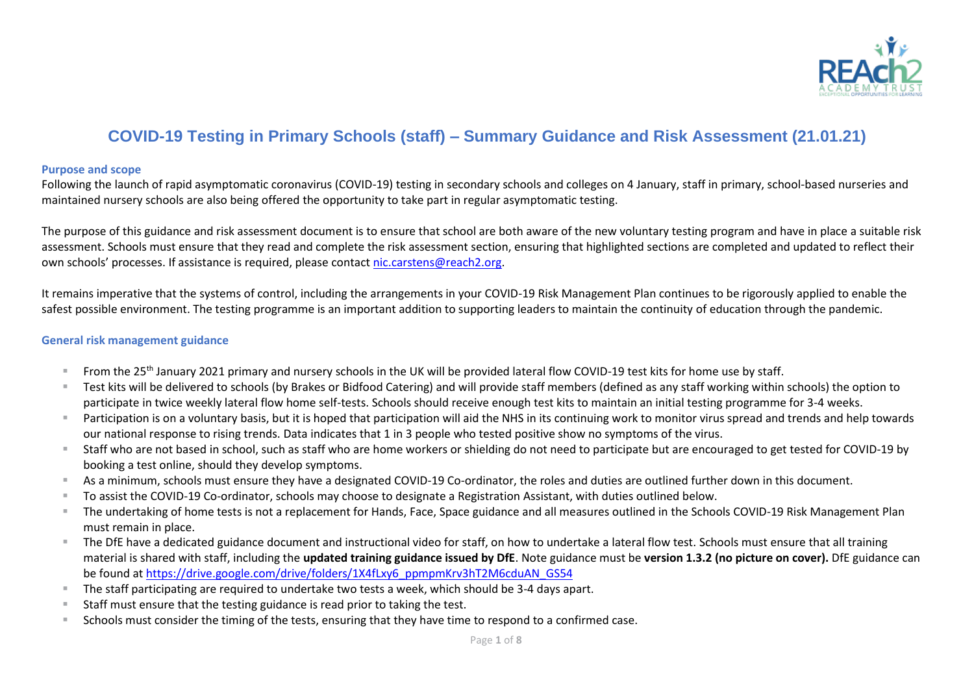

# **COVID-19 Testing in Primary Schools (staff) – Summary Guidance and Risk Assessment (21.01.21)**

#### **Purpose and scope**

Following the launch of rapid asymptomatic coronavirus (COVID-19) testing in secondary schools and colleges on 4 January, staff in primary, school-based nurseries and maintained nursery schools are also being offered the opportunity to take part in regular asymptomatic testing.

The purpose of this guidance and risk assessment document is to ensure that school are both aware of the new voluntary testing program and have in place a suitable risk assessment. Schools must ensure that they read and complete the risk assessment section, ensuring that highlighted sections are completed and updated to reflect their own schools' processes. If assistance is required, please contact [nic.carstens@reach2.org.](mailto:nic.carstens@reach2.org)

It remains imperative that the systems of control, including the arrangements in your COVID-19 Risk Management Plan continues to be rigorously applied to enable the safest possible environment. The testing programme is an important addition to supporting leaders to maintain the continuity of education through the pandemic.

### **General risk management guidance**

- From the 25<sup>th</sup> January 2021 primary and nursery schools in the UK will be provided lateral flow COVID-19 test kits for home use by staff.
- Test kits will be delivered to schools (by Brakes or Bidfood Catering) and will provide staff members (defined as any staff working within schools) the option to participate in twice weekly lateral flow home self-tests. Schools should receive enough test kits to maintain an initial testing programme for 3-4 weeks.
- Participation is on a voluntary basis, but it is hoped that participation will aid the NHS in its continuing work to monitor virus spread and trends and help towards our national response to rising trends. Data indicates that 1 in 3 people who tested positive show no symptoms of the virus.
- Staff who are not based in school, such as staff who are home workers or shielding do not need to participate but are encouraged to get tested for COVID-19 by booking a test online, should they develop symptoms.
- As a minimum, schools must ensure they have a designated COVID-19 Co-ordinator, the roles and duties are outlined further down in this document.
- To assist the COVID-19 Co-ordinator, schools may choose to designate a Registration Assistant, with duties outlined below.
- The undertaking of home tests is not a replacement for Hands, Face, Space guidance and all measures outlined in the Schools COVID-19 Risk Management Plan must remain in place.
- The DfE have a dedicated guidance document and instructional video for staff, on how to undertake a lateral flow test. Schools must ensure that all training material is shared with staff, including the **updated training guidance issued by DfE**. Note guidance must be **version 1.3.2 (no picture on cover).** DfE guidance can be found at [https://drive.google.com/drive/folders/1X4fLxy6\\_ppmpmKrv3hT2M6cduAN\\_GS54](https://drive.google.com/drive/folders/1X4fLxy6_ppmpmKrv3hT2M6cduAN_GS54)
- The staff participating are required to undertake two tests a week, which should be 3-4 days apart.
- Staff must ensure that the testing guidance is read prior to taking the test.
- Schools must consider the timing of the tests, ensuring that they have time to respond to a confirmed case.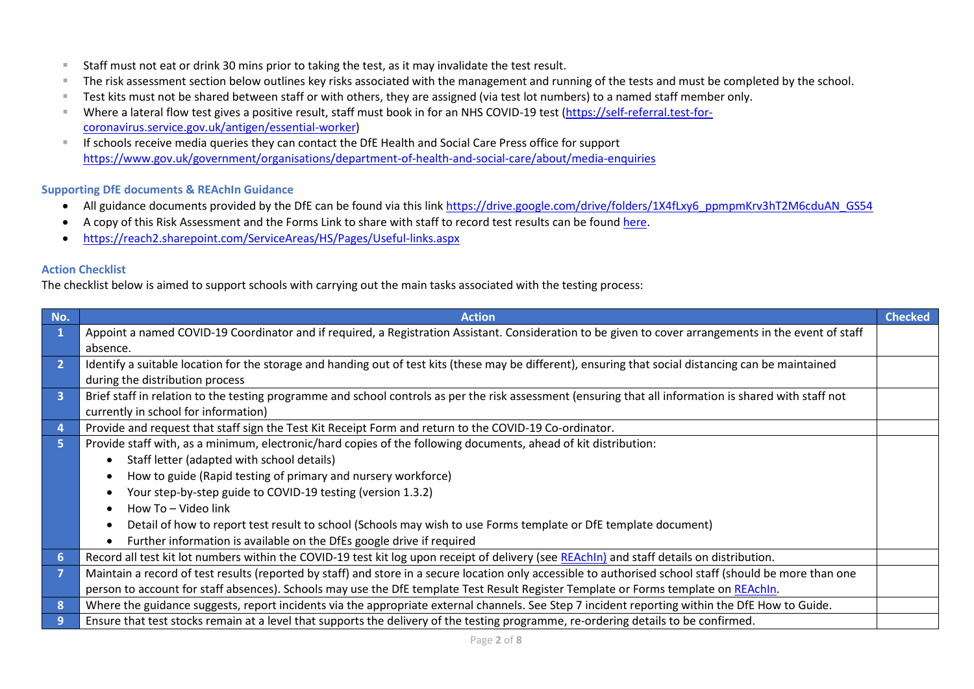- Staff must not eat or drink 30 mins prior to taking the test, as it may invalidate the test result.
- The risk assessment section below outlines key risks associated with the management and running of the tests and must be completed by the school.
- Test kits must not be shared between staff or with others, they are assigned (via test lot numbers) to a named staff member only.
- Where a lateral flow test gives a positive result, staff must book in for an NHS COVID-19 test [\(https://self-referral.test-for](https://self-referral.test-for-coronavirus.service.gov.uk/antigen/essential-worker)[coronavirus.service.gov.uk/antigen/essential-worker\)](https://self-referral.test-for-coronavirus.service.gov.uk/antigen/essential-worker)
- If schools receive media queries they can contact the DfE Health and Social Care Press office for support <https://www.gov.uk/government/organisations/department-of-health-and-social-care/about/media-enquiries>

# **Supporting DfE documents & REAchIn Guidance**

- All guidance documents provided by the DfE can be found via this lin[k https://drive.google.com/drive/folders/1X4fLxy6\\_ppmpmKrv3hT2M6cduAN\\_GS54](https://drive.google.com/drive/folders/1X4fLxy6_ppmpmKrv3hT2M6cduAN_GS54)
- A copy of this Risk Assessment and the Forms Link to share with staff to record test results can be foun[d here.](https://reach2.sharepoint.com/ServiceAreas/HS/Pages/Useful-links.aspx)
- <https://reach2.sharepoint.com/ServiceAreas/HS/Pages/Useful-links.aspx>

#### **Action Checklist**

The checklist below is aimed to support schools with carrying out the main tasks associated with the testing process:

| No.            | <b>Action</b>                                                                                                                                            | <b>Checked</b> |  |  |  |  |  |
|----------------|----------------------------------------------------------------------------------------------------------------------------------------------------------|----------------|--|--|--|--|--|
| 1              | Appoint a named COVID-19 Coordinator and if required, a Registration Assistant. Consideration to be given to cover arrangements in the event of staff    |                |  |  |  |  |  |
|                | absence.                                                                                                                                                 |                |  |  |  |  |  |
| $\overline{2}$ | Identify a suitable location for the storage and handing out of test kits (these may be different), ensuring that social distancing can be maintained    |                |  |  |  |  |  |
|                | during the distribution process                                                                                                                          |                |  |  |  |  |  |
| 3              | Brief staff in relation to the testing programme and school controls as per the risk assessment (ensuring that all information is shared with staff not  |                |  |  |  |  |  |
|                | currently in school for information)                                                                                                                     |                |  |  |  |  |  |
| $\overline{4}$ | Provide and request that staff sign the Test Kit Receipt Form and return to the COVID-19 Co-ordinator.                                                   |                |  |  |  |  |  |
| 5 <sup>1</sup> | Provide staff with, as a minimum, electronic/hard copies of the following documents, ahead of kit distribution:                                          |                |  |  |  |  |  |
|                | Staff letter (adapted with school details)                                                                                                               |                |  |  |  |  |  |
|                | How to guide (Rapid testing of primary and nursery workforce)                                                                                            |                |  |  |  |  |  |
|                | Your step-by-step guide to COVID-19 testing (version 1.3.2)                                                                                              |                |  |  |  |  |  |
|                | How To - Video link                                                                                                                                      |                |  |  |  |  |  |
|                | Detail of how to report test result to school (Schools may wish to use Forms template or DfE template document)                                          |                |  |  |  |  |  |
|                | Further information is available on the DfEs google drive if required                                                                                    |                |  |  |  |  |  |
| 6 <sup>1</sup> | Record all test kit lot numbers within the COVID-19 test kit log upon receipt of delivery (see REAchIn) and staff details on distribution.               |                |  |  |  |  |  |
|                | Maintain a record of test results (reported by staff) and store in a secure location only accessible to authorised school staff (should be more than one |                |  |  |  |  |  |
|                | person to account for staff absences). Schools may use the DfE template Test Result Register Template or Forms template on REAchIn.                      |                |  |  |  |  |  |
| 8              | Where the guidance suggests, report incidents via the appropriate external channels. See Step 7 incident reporting within the DfE How to Guide.          |                |  |  |  |  |  |
| 9              | Ensure that test stocks remain at a level that supports the delivery of the testing programme, re-ordering details to be confirmed.                      |                |  |  |  |  |  |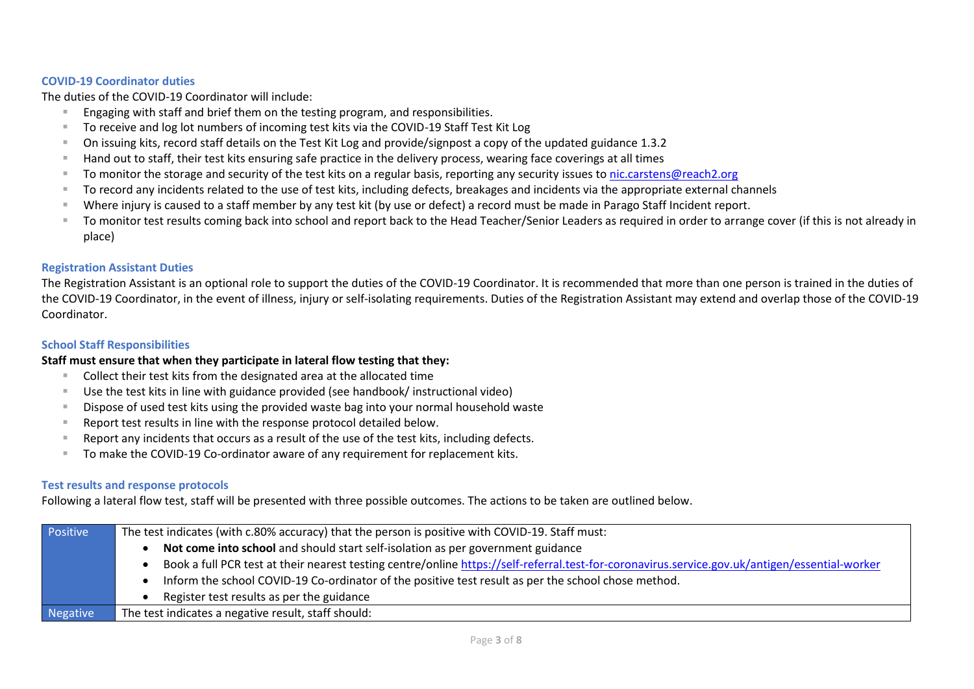# **COVID-19 Coordinator duties**

The duties of the COVID-19 Coordinator will include:

- Engaging with staff and brief them on the testing program, and responsibilities.
- To receive and log lot numbers of incoming test kits via the COVID-19 Staff Test Kit Log
- On issuing kits, record staff details on the Test Kit Log and provide/signpost a copy of the updated guidance 1.3.2
- Hand out to staff, their test kits ensuring safe practice in the delivery process, wearing face coverings at all times
- To monitor the storage and security of the test kits on a regular basis, reporting any security issues to [nic.carstens@reach2.org](mailto:nic.carstens@reach2.org)
- To record any incidents related to the use of test kits, including defects, breakages and incidents via the appropriate external channels
- Where injury is caused to a staff member by any test kit (by use or defect) a record must be made in Parago Staff Incident report.
- To monitor test results coming back into school and report back to the Head Teacher/Senior Leaders as required in order to arrange cover (if this is not already in place)

#### **Registration Assistant Duties**

The Registration Assistant is an optional role to support the duties of the COVID-19 Coordinator. It is recommended that more than one person is trained in the duties of the COVID-19 Coordinator, in the event of illness, injury or self-isolating requirements. Duties of the Registration Assistant may extend and overlap those of the COVID-19 Coordinator.

#### **School Staff Responsibilities**

# **Staff must ensure that when they participate in lateral flow testing that they:**

- Collect their test kits from the designated area at the allocated time
- Use the test kits in line with guidance provided (see handbook/ instructional video)
- Dispose of used test kits using the provided waste bag into your normal household waste
- Report test results in line with the response protocol detailed below.
- Report any incidents that occurs as a result of the use of the test kits, including defects.
- To make the COVID-19 Co-ordinator aware of any requirement for replacement kits.

# **Test results and response protocols**

Following a lateral flow test, staff will be presented with three possible outcomes. The actions to be taken are outlined below.

| Positive | The test indicates (with c.80% accuracy) that the person is positive with COVID-19. Staff must:                                                |  |  |  |  |
|----------|------------------------------------------------------------------------------------------------------------------------------------------------|--|--|--|--|
|          | Not come into school and should start self-isolation as per government guidance                                                                |  |  |  |  |
|          | Book a full PCR test at their nearest testing centre/online https://self-referral.test-for-coronavirus.service.gov.uk/antigen/essential-worker |  |  |  |  |
|          | Inform the school COVID-19 Co-ordinator of the positive test result as per the school chose method.                                            |  |  |  |  |
|          | Register test results as per the guidance                                                                                                      |  |  |  |  |
| Negative | The test indicates a negative result, staff should:                                                                                            |  |  |  |  |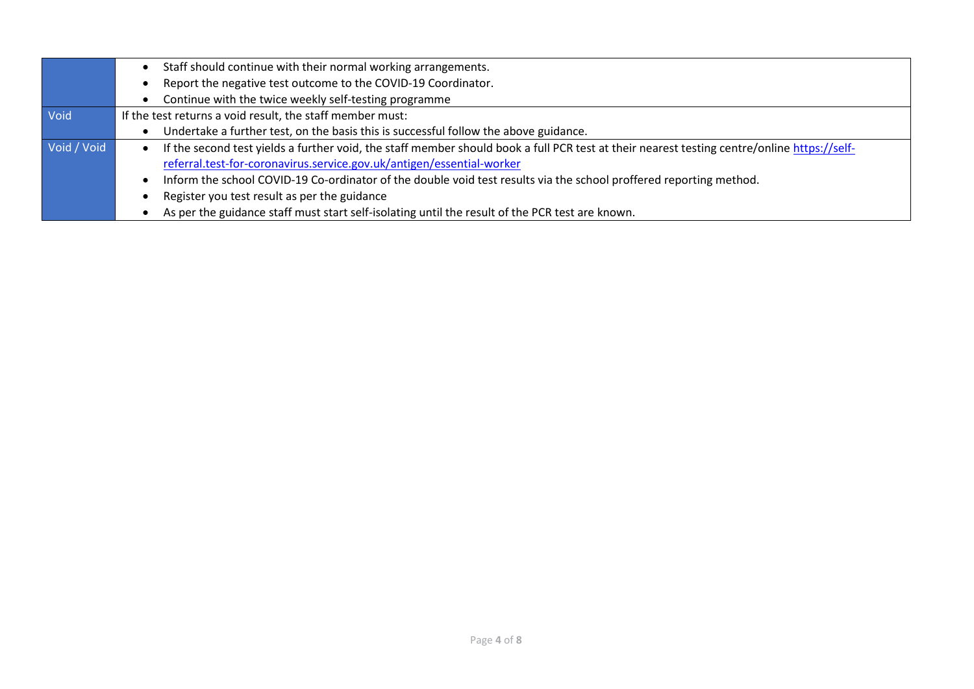|             | Staff should continue with their normal working arrangements.                                                                                                                                                        |
|-------------|----------------------------------------------------------------------------------------------------------------------------------------------------------------------------------------------------------------------|
|             | Report the negative test outcome to the COVID-19 Coordinator.                                                                                                                                                        |
|             | Continue with the twice weekly self-testing programme                                                                                                                                                                |
| Void        | If the test returns a void result, the staff member must:                                                                                                                                                            |
|             | Undertake a further test, on the basis this is successful follow the above guidance.                                                                                                                                 |
| Void / Void | If the second test yields a further void, the staff member should book a full PCR test at their nearest testing centre/online https://self-<br>referral.test-for-coronavirus.service.gov.uk/antigen/essential-worker |
|             | Inform the school COVID-19 Co-ordinator of the double void test results via the school proffered reporting method.                                                                                                   |
|             | Register you test result as per the guidance                                                                                                                                                                         |
|             | As per the guidance staff must start self-isolating until the result of the PCR test are known.                                                                                                                      |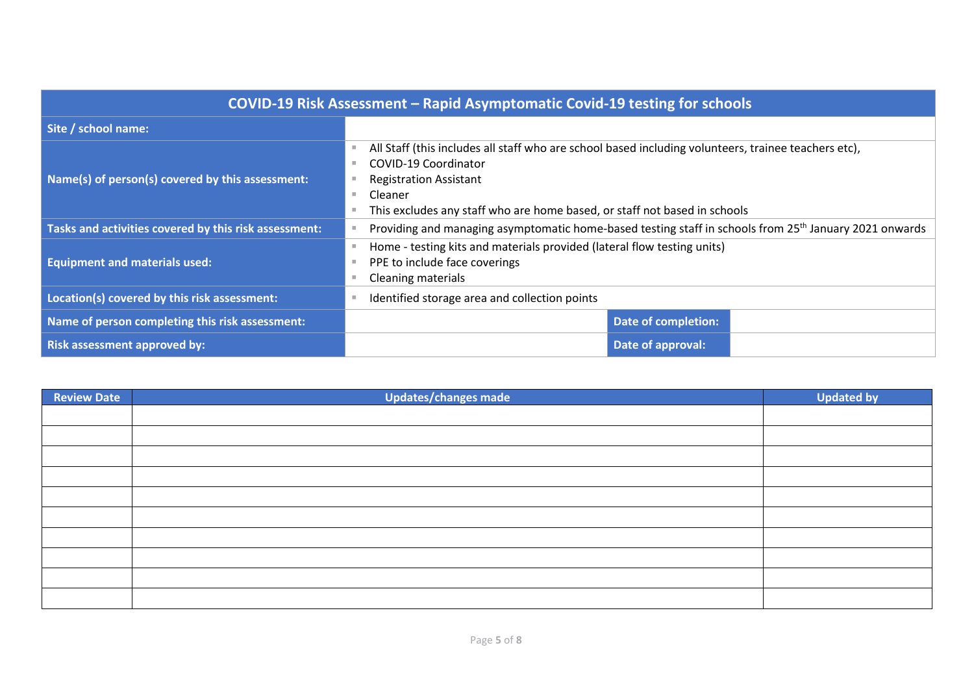| COVID-19 Risk Assessment - Rapid Asymptomatic Covid-19 testing for schools |                                                                                                                                       |  |  |  |  |
|----------------------------------------------------------------------------|---------------------------------------------------------------------------------------------------------------------------------------|--|--|--|--|
| Site / school name:                                                        |                                                                                                                                       |  |  |  |  |
|                                                                            | All Staff (this includes all staff who are school based including volunteers, trainee teachers etc),<br>COVID-19 Coordinator          |  |  |  |  |
| Name(s) of person(s) covered by this assessment:                           | <b>Registration Assistant</b><br>Cleaner<br>٠<br>This excludes any staff who are home based, or staff not based in schools            |  |  |  |  |
| Tasks and activities covered by this risk assessment:                      | Providing and managing asymptomatic home-based testing staff in schools from 25 <sup>th</sup> January 2021 onwards                    |  |  |  |  |
| <b>Equipment and materials used:</b>                                       | Home - testing kits and materials provided (lateral flow testing units)<br>PPE to include face coverings<br><b>Cleaning materials</b> |  |  |  |  |
| Location(s) covered by this risk assessment:                               | Identified storage area and collection points                                                                                         |  |  |  |  |
| Name of person completing this risk assessment:                            | Date of completion:                                                                                                                   |  |  |  |  |
| <b>Risk assessment approved by:</b>                                        | Date of approval:                                                                                                                     |  |  |  |  |

| Review Date | <b>Updates/changes made</b> | <b>Updated by</b> |
|-------------|-----------------------------|-------------------|
|             |                             |                   |
|             |                             |                   |
|             |                             |                   |
|             |                             |                   |
|             |                             |                   |
|             |                             |                   |
|             |                             |                   |
|             |                             |                   |
|             |                             |                   |
|             |                             |                   |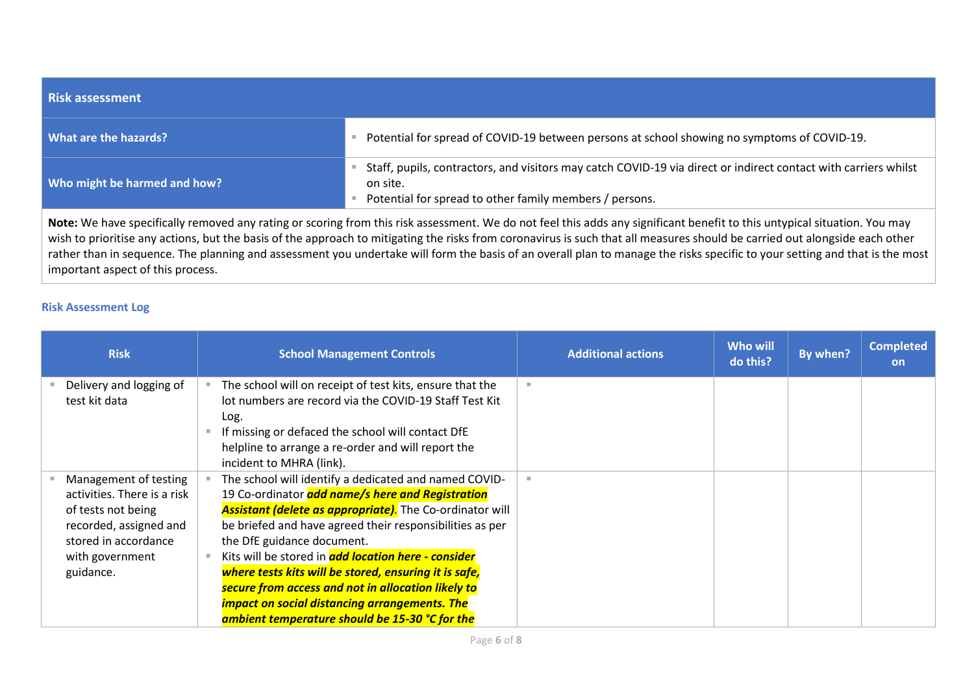| <b>Risk assessment</b>       |                                                                                                                                                                                        |
|------------------------------|----------------------------------------------------------------------------------------------------------------------------------------------------------------------------------------|
| What are the hazards?        | Potential for spread of COVID-19 between persons at school showing no symptoms of COVID-19.                                                                                            |
| Who might be harmed and how? | Staff, pupils, contractors, and visitors may catch COVID-19 via direct or indirect contact with carriers whilst<br>on site.<br>Potential for spread to other family members / persons. |

**Note:** We have specifically removed any rating or scoring from this risk assessment. We do not feel this adds any significant benefit to this untypical situation. You may wish to prioritise any actions, but the basis of the approach to mitigating the risks from coronavirus is such that all measures should be carried out alongside each other rather than in sequence. The planning and assessment you undertake will form the basis of an overall plan to manage the risks specific to your setting and that is the most important aspect of this process.

# **Risk Assessment Log**

| <b>Risk</b>                                                                                                                                                  | <b>School Management Controls</b>                                                                                                                                                                                                                                                                                                                                                                                                                                                                                                                      | <b>Additional actions</b> | Who will<br>do this? | By when? | <b>Completed</b><br><b>on</b> |
|--------------------------------------------------------------------------------------------------------------------------------------------------------------|--------------------------------------------------------------------------------------------------------------------------------------------------------------------------------------------------------------------------------------------------------------------------------------------------------------------------------------------------------------------------------------------------------------------------------------------------------------------------------------------------------------------------------------------------------|---------------------------|----------------------|----------|-------------------------------|
| Delivery and logging of<br>test kit data                                                                                                                     | The school will on receipt of test kits, ensure that the<br>lot numbers are record via the COVID-19 Staff Test Kit<br>Log.<br>If missing or defaced the school will contact DfE<br>helpline to arrange a re-order and will report the<br>incident to MHRA (link).                                                                                                                                                                                                                                                                                      |                           |                      |          |                               |
| Management of testing<br>activities. There is a risk<br>of tests not being<br>recorded, assigned and<br>stored in accordance<br>with government<br>guidance. | The school will identify a dedicated and named COVID-<br>19 Co-ordinator add name/s here and Registration<br>Assistant (delete as appropriate). The Co-ordinator will<br>be briefed and have agreed their responsibilities as per<br>the DfE guidance document.<br>Kits will be stored in <b>add location here - consider</b><br>where tests kits will be stored, ensuring it is safe,<br>secure from access and not in allocation likely to<br><b>impact on social distancing arrangements. The</b><br>ambient temperature should be 15-30 °C for the |                           |                      |          |                               |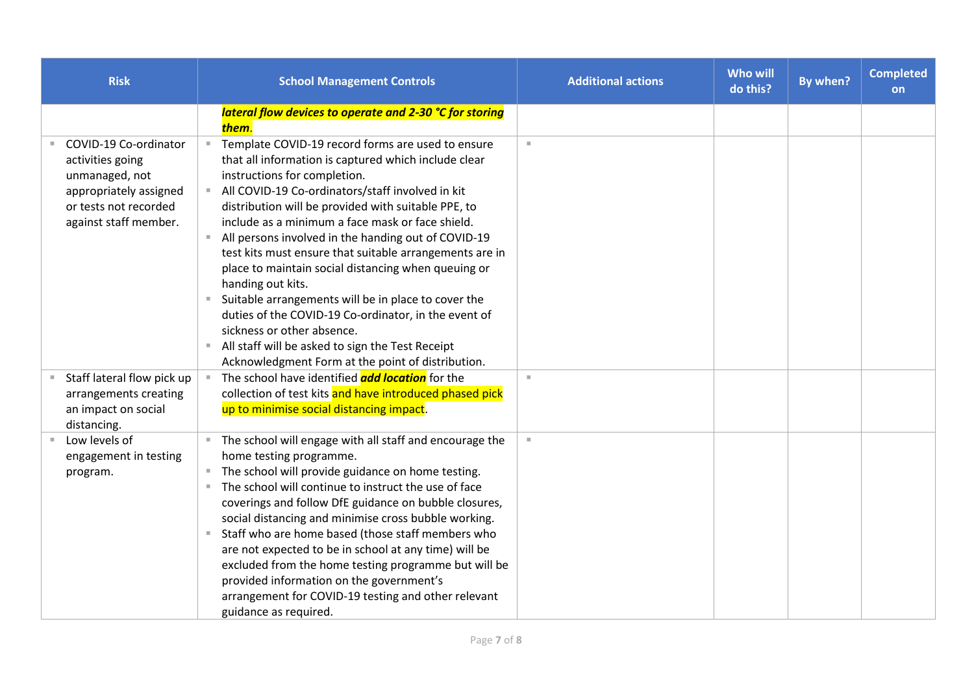| <b>Risk</b>                                                                                                                             | <b>School Management Controls</b>                                                                                                                                                                                                                                                                                                                                                                                                                                                                                                                                                                                                                                                                                                                                              | <b>Additional actions</b> | <b>Who will</b><br>do this? | By when? | <b>Completed</b><br>on |
|-----------------------------------------------------------------------------------------------------------------------------------------|--------------------------------------------------------------------------------------------------------------------------------------------------------------------------------------------------------------------------------------------------------------------------------------------------------------------------------------------------------------------------------------------------------------------------------------------------------------------------------------------------------------------------------------------------------------------------------------------------------------------------------------------------------------------------------------------------------------------------------------------------------------------------------|---------------------------|-----------------------------|----------|------------------------|
|                                                                                                                                         | lateral flow devices to operate and 2-30 °C for storing<br>them.                                                                                                                                                                                                                                                                                                                                                                                                                                                                                                                                                                                                                                                                                                               |                           |                             |          |                        |
| COVID-19 Co-ordinator<br>activities going<br>unmanaged, not<br>appropriately assigned<br>or tests not recorded<br>against staff member. | Template COVID-19 record forms are used to ensure<br>$\mathbb{R}^n$<br>that all information is captured which include clear<br>instructions for completion.<br>All COVID-19 Co-ordinators/staff involved in kit<br>distribution will be provided with suitable PPE, to<br>include as a minimum a face mask or face shield.<br>All persons involved in the handing out of COVID-19<br>test kits must ensure that suitable arrangements are in<br>place to maintain social distancing when queuing or<br>handing out kits.<br>Suitable arrangements will be in place to cover the<br>duties of the COVID-19 Co-ordinator, in the event of<br>sickness or other absence.<br>All staff will be asked to sign the Test Receipt<br>Acknowledgment Form at the point of distribution. | $\mathbb{R}^n$            |                             |          |                        |
| Staff lateral flow pick up<br>arrangements creating<br>an impact on social<br>distancing.                                               | The school have identified <b>add location</b> for the<br>collection of test kits and have introduced phased pick<br>up to minimise social distancing impact.                                                                                                                                                                                                                                                                                                                                                                                                                                                                                                                                                                                                                  | $\mathbb{R}^d$            |                             |          |                        |
| Low levels of<br>engagement in testing<br>program.                                                                                      | The school will engage with all staff and encourage the<br>home testing programme.<br>The school will provide guidance on home testing.<br>The school will continue to instruct the use of face<br>coverings and follow DfE guidance on bubble closures,<br>social distancing and minimise cross bubble working.<br>Staff who are home based (those staff members who<br>are not expected to be in school at any time) will be<br>excluded from the home testing programme but will be<br>provided information on the government's<br>arrangement for COVID-19 testing and other relevant<br>guidance as required.                                                                                                                                                             | $\mathbb{R}^2$            |                             |          |                        |